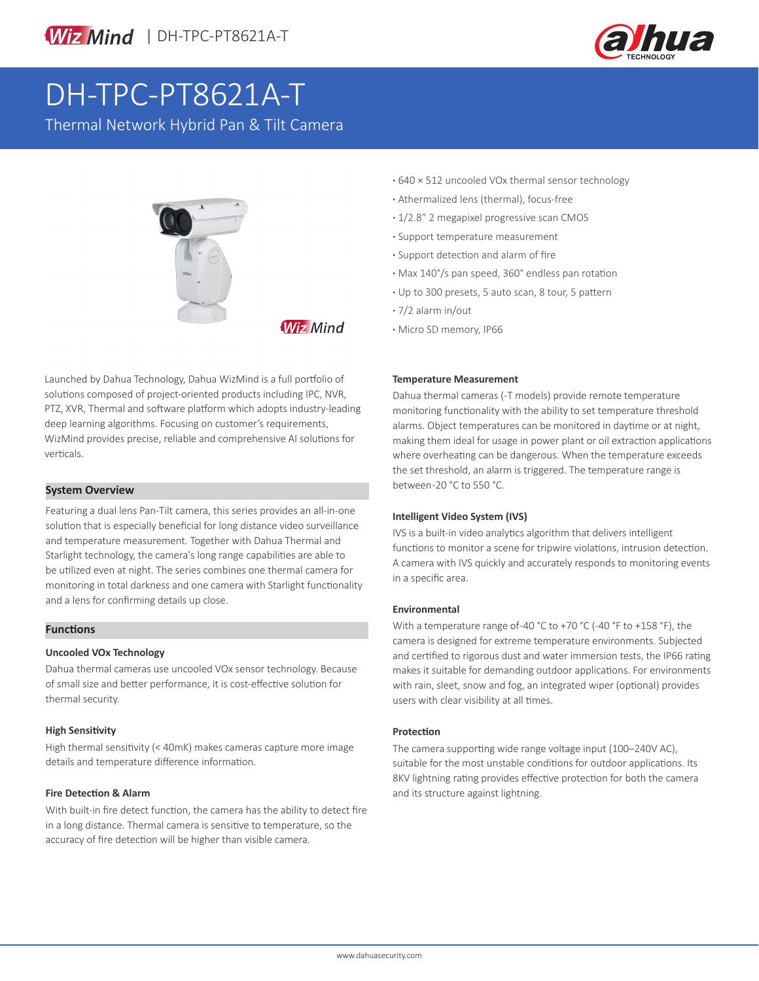



# DH-TPC-PT8621A-T

Thermal Network Hybrid Pan & Tilt Camera



**Wiz Mind** 

Launched by Dahua Technology, Dahua WizMind is a full portfolio of solutions composed of project-oriented products including IPC, NVR, PTZ, XVR, Thermal and software platform which adopts industry-leading deep learning algorithms. Focusing on customer's requirements, WizMind provides precise, reliable and comprehensive AI solutions for verticals.

#### **System Overview**

Featuring a dual lens Pan-Tilt camera, this series provides an all-in-one solution that is especially beneficial for long distance video surveillance and temperature measurement. Together with Dahua Thermal and Starlight technology, the camera's long range capabilities are able to be utilized even at night. The series combines one thermal camera for monitoring in total darkness and one camera with Starlight functionality and a lens for confirming details up close.

#### **Functions**

#### **Uncooled VOx Technology**

Dahua thermal cameras use uncooled VOx sensor technology. Because of small size and better performance, it is cost-effective solution for thermal security.

#### **High Sensitivity**

High thermal sensitivity (< 40mK) makes cameras capture more image details and temperature difference information.

#### **Fire Detection & Alarm**

With built-in fire detect function, the camera has the ability to detect fire in a long distance. Thermal camera is sensitive to temperature, so the accuracy of fire detection will be higher than visible camera.

- **·** 640 × 512 uncooled VOx thermal sensor technology
- **·** Athermalized lens (thermal), focus-free
- **·** 1/2.8" 2 megapixel progressive scan CMOS
- **·** Support temperature measurement
- **·** Support detection and alarm of fire
- **·** Max 140°/s pan speed, 360° endless pan rotation
- **·** Up to 300 presets, 5 auto scan, 8 tour, 5 pattern
- **·** 7/2 alarm in/out
- **·** Micro SD memory, IP66

#### **Temperature Measurement**

Dahua thermal cameras (-T models) provide remote temperature monitoring functionality with the ability to set temperature threshold alarms. Object temperatures can be monitored in daytime or at night, making them ideal for usage in power plant or oil extraction applications where overheating can be dangerous. When the temperature exceeds the set threshold, an alarm is triggered. The temperature range is between -20 °C to 550 °C.

#### **Intelligent Video System (IVS)**

IVS is a built-in video analytics algorithm that delivers intelligent functions to monitor a scene for tripwire violations, intrusion detection. A camera with IVS quickly and accurately responds to monitoring events in a specific area.

#### **Environmental**

With a temperature range of -40 °C to +70 °C (-40 °F to +158 °F), the camera is designed for extreme temperature environments. Subjected and certified to rigorous dust and water immersion tests, the IP66 rating makes it suitable for demanding outdoor applications. For environments with rain, sleet, snow and fog, an integrated wiper (optional) provides users with clear visibility at all times.

#### **Protection**

The camera supporting wide range voltage input (100–240V AC), suitable for the most unstable conditions for outdoor applications. Its 8KV lightning rating provides effective protection for both the camera and its structure against lightning.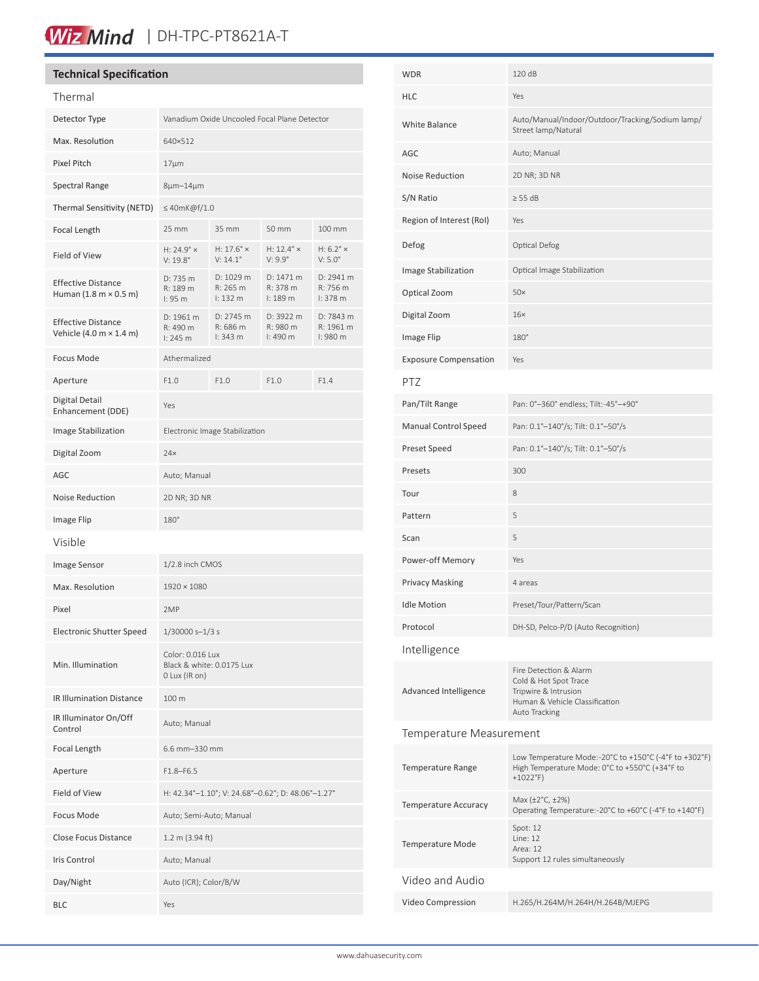# Wiz Mind | DH-TPC-PT8621A-T

#### **Technical Specification**

| Thermal                                                                     |                                                                |                                             |                                                   |                                         |
|-----------------------------------------------------------------------------|----------------------------------------------------------------|---------------------------------------------|---------------------------------------------------|-----------------------------------------|
| Detector Type                                                               | Vanadium Oxide Uncooled Focal Plane Detector                   |                                             |                                                   |                                         |
| Max. Resolution                                                             | 640×512                                                        |                                             |                                                   |                                         |
| <b>Pixel Pitch</b>                                                          | $17 \mu m$                                                     |                                             |                                                   |                                         |
| <b>Spectral Range</b>                                                       | 8µm-14µm                                                       |                                             |                                                   |                                         |
| Thermal Sensitivity (NETD)                                                  | $\leq$ 40mK@f/1.0                                              |                                             |                                                   |                                         |
| Focal Length                                                                | 25 mm                                                          | 35 mm                                       | 50 mm                                             | 100 mm                                  |
| Field of View                                                               | $H: 24.9^\circ \times$<br>$V: 19.8^\circ$                      | $H: 17.6^\circ \times$<br>$V: 14.1^{\circ}$ | H: $12.4^\circ \times$<br>$V: 9.9^\circ$          | $H: 6.2^\circ \times$<br>$V: 5.0^\circ$ |
| <b>Effective Distance</b><br>Human $(1.8 \text{ m} \times 0.5 \text{ m})$   | D: 735 m<br>R: 189 m<br>1:95m                                  | D: 1029 m<br>R: 265 m<br>l: 132 m           | D: 1471 m<br>R: 378 m<br>1:189m                   | D: 2941 m<br>R: 756 m<br>I: 378 m       |
| <b>Effective Distance</b><br>Vehicle $(4.0 \text{ m} \times 1.4 \text{ m})$ | D: 1961 m<br>R: 490 m<br>1:245 m                               | D: 2745 m<br>R: 686 m<br>1:343 m            | D: 3922 m<br>R: 980 m<br>I: 490 m                 | D: 7843 m<br>R: 1961 m<br>I: 980 m      |
| Focus Mode                                                                  | Athermalized                                                   |                                             |                                                   |                                         |
| Aperture                                                                    | F1.0                                                           | F1.0                                        | F1.0                                              | F1.4                                    |
| Digital Detail<br>Enhancement (DDE)                                         | Yes                                                            |                                             |                                                   |                                         |
| Image Stabilization                                                         | Electronic Image Stabilization                                 |                                             |                                                   |                                         |
| Digital Zoom                                                                | 24x                                                            |                                             |                                                   |                                         |
| <b>AGC</b>                                                                  | Auto; Manual                                                   |                                             |                                                   |                                         |
| Noise Reduction                                                             | 2D NR; 3D NR                                                   |                                             |                                                   |                                         |
| Image Flip                                                                  | 180°                                                           |                                             |                                                   |                                         |
| Visible                                                                     |                                                                |                                             |                                                   |                                         |
| Image Sensor                                                                | 1/2.8 inch CMOS                                                |                                             |                                                   |                                         |
| Max. Resolution                                                             | 1920 × 1080                                                    |                                             |                                                   |                                         |
| Pixel                                                                       | 2MP                                                            |                                             |                                                   |                                         |
| <b>Electronic Shutter Speed</b>                                             | $1/30000 s - 1/3 s$                                            |                                             |                                                   |                                         |
| Min. Illumination                                                           | Color: 0.016 Lux<br>Black & white: 0.0175 Lux<br>0 Lux (IR on) |                                             |                                                   |                                         |
| <b>IR Illumination Distance</b>                                             | 100 m                                                          |                                             |                                                   |                                         |
| IR Illuminator On/Off<br>Control                                            | Auto; Manual                                                   |                                             |                                                   |                                         |
| Focal Length                                                                | 6.6 mm-330 mm                                                  |                                             |                                                   |                                         |
| Aperture                                                                    | $F1.8 - F6.5$                                                  |                                             |                                                   |                                         |
| Field of View                                                               |                                                                |                                             | H: 42.34°-1.10°; V: 24.68°-0.62°; D: 48.06°-1.27° |                                         |
| Focus Mode                                                                  | Auto; Semi-Auto; Manual                                        |                                             |                                                   |                                         |
| Close Focus Distance                                                        | $1.2 \text{ m}$ (3.94 ft)                                      |                                             |                                                   |                                         |
| Iris Control                                                                | Auto; Manual                                                   |                                             |                                                   |                                         |
| Day/Night                                                                   | Auto (ICR); Color/B/W                                          |                                             |                                                   |                                         |
| <b>BLC</b>                                                                  | Yes                                                            |                                             |                                                   |                                         |

| WDR                          | 120 dB                                                                                                                     |  |  |
|------------------------------|----------------------------------------------------------------------------------------------------------------------------|--|--|
| HLC                          | Yes                                                                                                                        |  |  |
| <b>White Balance</b>         | Auto/Manual/Indoor/Outdoor/Tracking/Sodium lamp/<br>Street lamp/Natural                                                    |  |  |
| AGC                          | Auto; Manual                                                                                                               |  |  |
| <b>Noise Reduction</b>       | 2D NR; 3D NR                                                                                                               |  |  |
| S/N Ratio                    | $\geq$ 55 dB                                                                                                               |  |  |
| Region of Interest (RoI)     | Yes                                                                                                                        |  |  |
| Defog                        | Optical Defog                                                                                                              |  |  |
| Image Stabilization          | Optical Image Stabilization                                                                                                |  |  |
| Optical Zoom                 | $50\times$                                                                                                                 |  |  |
| Digital Zoom                 | $16\times$                                                                                                                 |  |  |
| Image Flip                   | $180^\circ$                                                                                                                |  |  |
| <b>Exposure Compensation</b> | Yes                                                                                                                        |  |  |
| PTZ                          |                                                                                                                            |  |  |
| Pan/Tilt Range               | Pan: 0°-360° endless; Tilt:-45°-+90°                                                                                       |  |  |
| <b>Manual Control Speed</b>  | Pan: 0.1°-140°/s; Tilt: 0.1°-50°/s                                                                                         |  |  |
| Preset Speed                 | Pan: 0.1°-140°/s; Tilt: 0.1°-50°/s                                                                                         |  |  |
| Presets                      | 300                                                                                                                        |  |  |
| Tour                         | 8                                                                                                                          |  |  |
| Pattern                      | 5                                                                                                                          |  |  |
| Scan                         | 5                                                                                                                          |  |  |
| Power-off Memory             | Yes                                                                                                                        |  |  |
| <b>Privacy Masking</b>       | 4 areas                                                                                                                    |  |  |
| <b>Idle Motion</b>           | Preset/Tour/Pattern/Scan                                                                                                   |  |  |
| Protocol                     | DH-SD, Pelco-P/D (Auto Recognition)                                                                                        |  |  |
| Intelligence                 |                                                                                                                            |  |  |
| Advanced Intelligence        | Fire Detection & Alarm<br>Cold & Hot Spot Trace<br>Tripwire & Intrusion<br>Human & Vehicle Classification<br>Auto Tracking |  |  |
| Temperature Measurement      |                                                                                                                            |  |  |
| <b>Temperature Range</b>     | Low Temperature Mode:-20°C to +150°C (-4°F to +302°F)<br>High Temperature Mode: 0°C to +550°C (+34°F to<br>$+1022$ °F)     |  |  |
| Temperature Accuracy         | Max (±2°C, ±2%)<br>Operating Temperature:-20°C to +60°C (-4°F to +140°F)                                                   |  |  |
| <b>Temperature Mode</b>      | Spot: 12<br>Line: 12<br>Area: 12<br>Support 12 rules simultaneously                                                        |  |  |
| Video and Audio              |                                                                                                                            |  |  |
| Video Compression            | H.265/H.264M/H.264H/H.264B/MJEPG                                                                                           |  |  |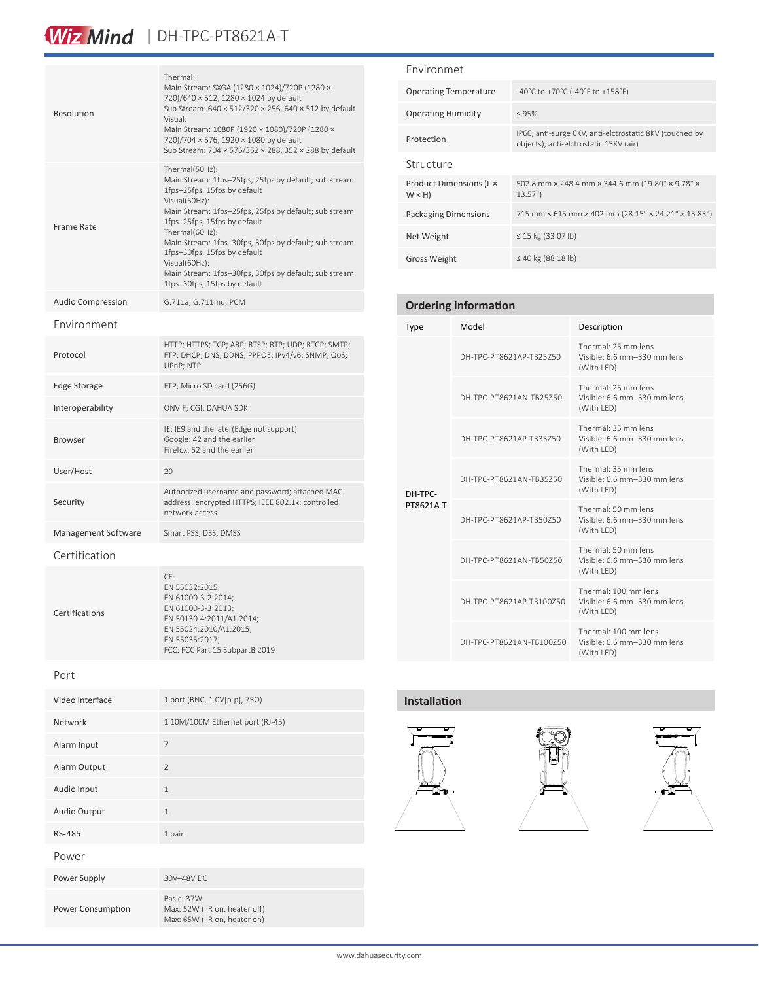# Wiz Mind | DH-TPC-PT8621A-T

| Resolution               | Thermal:<br>Main Stream: SXGA (1280 × 1024)/720P (1280 ×<br>720)/640 × 512, 1280 × 1024 by default<br>Sub Stream: 640 x 512/320 x 256, 640 x 512 by default<br>Visual:<br>Main Stream: 1080P (1920 × 1080)/720P (1280 ×<br>720)/704 × 576, 1920 × 1080 by default<br>Sub Stream: 704 x 576/352 x 288, 352 x 288 by default                                                                                                                 |  |
|--------------------------|--------------------------------------------------------------------------------------------------------------------------------------------------------------------------------------------------------------------------------------------------------------------------------------------------------------------------------------------------------------------------------------------------------------------------------------------|--|
| <b>Frame Rate</b>        | Thermal(50Hz):<br>Main Stream: 1fps-25fps, 25fps by default; sub stream:<br>1fps-25fps, 15fps by default<br>Visual(50Hz):<br>Main Stream: 1fps-25fps, 25fps by default; sub stream:<br>1fps-25fps, 15fps by default<br>Thermal(60Hz):<br>Main Stream: 1fps-30fps, 30fps by default; sub stream:<br>1fps-30fps, 15fps by default<br>Visual(60Hz):<br>Main Stream: 1fps-30fps, 30fps by default; sub stream:<br>1fps-30fps, 15fps by default |  |
| <b>Audio Compression</b> | G.711a; G.711mu; PCM                                                                                                                                                                                                                                                                                                                                                                                                                       |  |
| Environment              |                                                                                                                                                                                                                                                                                                                                                                                                                                            |  |
| Protocol                 | HTTP; HTTPS; TCP; ARP; RTSP; RTP; UDP; RTCP; SMTP;<br>FTP; DHCP; DNS; DDNS; PPPOE; IPv4/v6; SNMP; QoS;<br>UPnP; NTP                                                                                                                                                                                                                                                                                                                        |  |
| <b>Edge Storage</b>      | FTP; Micro SD card (256G)                                                                                                                                                                                                                                                                                                                                                                                                                  |  |
| Interoperability         | ONVIF; CGI; DAHUA SDK                                                                                                                                                                                                                                                                                                                                                                                                                      |  |
| <b>Browser</b>           | IE: IE9 and the later(Edge not support)<br>Google: 42 and the earlier<br>Firefox: 52 and the earlier                                                                                                                                                                                                                                                                                                                                       |  |
| User/Host                | 20                                                                                                                                                                                                                                                                                                                                                                                                                                         |  |
| Security                 | Authorized username and password; attached MAC<br>address; encrypted HTTPS; IEEE 802.1x; controlled<br>network access                                                                                                                                                                                                                                                                                                                      |  |
| Management Software      | Smart PSS, DSS, DMSS                                                                                                                                                                                                                                                                                                                                                                                                                       |  |
| Certification            |                                                                                                                                                                                                                                                                                                                                                                                                                                            |  |
| Certifications           | CE:<br>EN 55032:2015;<br>EN 61000-3-2:2014;<br>EN 61000-3-3:2013;<br>EN 50130-4:2011/A1:2014;<br>EN 55024:2010/A1:2015;<br>EN 55035:2017;<br>FCC: FCC Part 15 SubpartB 2019                                                                                                                                                                                                                                                                |  |

Port

| Video Interface   | 1 port (BNC, 1.0V[p-p], 75Ω)                                              |
|-------------------|---------------------------------------------------------------------------|
| Network           | 1 10M/100M Ethernet port (RJ-45)                                          |
| Alarm Input       | $\overline{7}$                                                            |
| Alarm Output      | $\mathfrak{D}$                                                            |
| Audio Input       | $\mathbf{1}$                                                              |
| Audio Output      | $\mathbf{1}$                                                              |
| RS-485            | 1 pair                                                                    |
| Power             |                                                                           |
| Power Supply      | 30V-48V DC                                                                |
| Power Consumption | Basic: 37W<br>Max: 52W (IR on, heater off)<br>Max: 65W (IR on, heater on) |

### Environmet

| <b>Operating Temperature</b>            | -40°C to +70°C (-40°F to +158°F)                                                                  |
|-----------------------------------------|---------------------------------------------------------------------------------------------------|
| <b>Operating Humidity</b>               | < 95%                                                                                             |
| Protection                              | IP66, anti-surge 6KV, anti-elctrostatic 8KV (touched by<br>objects), anti-elctrostatic 15KV (air) |
| Structure                               |                                                                                                   |
| Product Dimensions (L ×<br>$W \times H$ | 502.8 mm × 248.4 mm × 344.6 mm (19.80" × 9.78" ×<br>13.57"                                        |
| <b>Packaging Dimensions</b>             | 715 mm × 615 mm × 402 mm (28.15" × 24.21" × 15.83")                                               |
| Net Weight                              | $\leq$ 15 kg (33.07 lb)                                                                           |
| <b>Gross Weight</b>                     | ≤ 40 kg (88.18 lb)                                                                                |

### **Ordering Information**

| <b>Type</b>          | Model                    | Description                                                       |
|----------------------|--------------------------|-------------------------------------------------------------------|
| DH-TPC-<br>PT8621A-T | DH-TPC-PT8621AP-TB25750  | Thermal: 25 mm lens<br>Visible: 6.6 mm-330 mm lens<br>(With LED)  |
|                      | DH-TPC-PT8621AN-TB25Z50  | Thermal: 25 mm lens<br>Visible: 6.6 mm-330 mm lens<br>(With LED)  |
|                      | DH-TPC-PT8621AP-TB35Z50  | Thermal: 35 mm lens<br>Visible: 6.6 mm-330 mm lens<br>(With LED)  |
|                      | DH-TPC-PT8621AN-TB35Z50  | Thermal: 35 mm lens<br>Visible: 6.6 mm-330 mm lens<br>(With LED)  |
|                      | DH-TPC-PT8621AP-TB50750  | Thermal: 50 mm lens<br>Visible: 6.6 mm-330 mm lens<br>(With LED)  |
|                      | DH-TPC-PT8621AN-TB50750  | Thermal: 50 mm lens<br>Visible: 6.6 mm-330 mm lens<br>(With LED)  |
|                      | DH-TPC-PT8621AP-TB100Z50 | Thermal: 100 mm lens<br>Visible: 6.6 mm-330 mm lens<br>(With LED) |
|                      | DH-TPC-PT8621AN-TB100750 | Thermal: 100 mm lens<br>Visible: 6.6 mm-330 mm lens<br>(With LED) |

### **Installation**